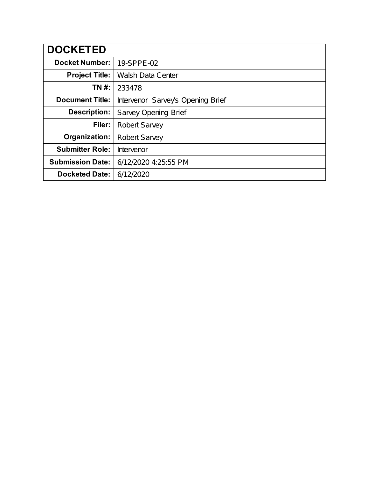| <b>DOCKETED</b>         |                                   |
|-------------------------|-----------------------------------|
| <b>Docket Number:</b>   | 19-SPPE-02                        |
| <b>Project Title:</b>   | <b>Walsh Data Center</b>          |
| TN #:                   | 233478                            |
| <b>Document Title:</b>  | Intervenor Sarvey's Opening Brief |
| <b>Description:</b>     | <b>Sarvey Opening Brief</b>       |
| Filer:                  | <b>Robert Sarvey</b>              |
| Organization:           | <b>Robert Sarvey</b>              |
| <b>Submitter Role:</b>  | Intervenor                        |
| <b>Submission Date:</b> | 6/12/2020 4:25:55 PM              |
| <b>Docketed Date:</b>   | 6/12/2020                         |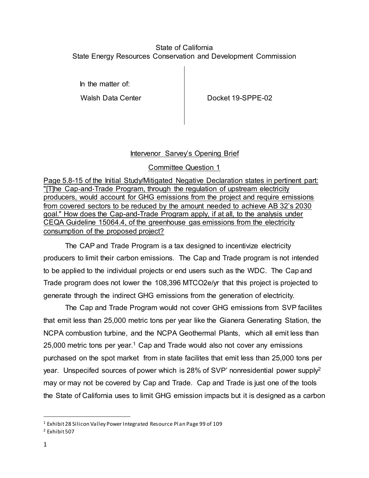#### State of California State Energy Resources Conservation and Development Commission

In the matter of:

Walsh Data Center **Docket 19-SPPE-02** 

### Intervenor Sarvey's Opening Brief

### Committee Question 1

Page 5.8-15 of the Initial Study/Mitigated Negative Declaration states in pertinent part: "[T]he Cap‐and‐Trade Program, through the regulation of upstream electricity producers, would account for GHG emissions from the project and require emissions from covered sectors to be reduced by the amount needed to achieve AB 32's 2030 goal." How does the Cap-and-Trade Program apply, if at all, to the analysis under CEQA Guideline 15064.4, of the greenhouse gas emissions from the electricity consumption of the proposed project?

The CAP and Trade Program is a tax designed to incentivize electricity producers to limit their carbon emissions. The Cap and Trade program is not intended to be applied to the individual projects or end users such as the WDC. The Cap and Trade program does not lower the 108,396 MTCO2e/yr that this project is projected to generate through the indirect GHG emissions from the generation of electricity.

The Cap and Trade Program would not cover GHG emissions from SVP facilites that emit less than 25,000 metric tons per year like the Gianera Generating Station, the NCPA combustion turbine, and the NCPA Geothermal Plants, which all emit less than 25,000 metric tons per year.<sup>1</sup> Cap and Trade would also not cover any emissions purchased on the spot market from in state facilites that emit less than 25,000 tons per year. Unspecifed sources of power which is 28% of SVP' nonresidential power supply<sup>2</sup> may or may not be covered by Cap and Trade. Cap and Trade is just one of the tools the State of California uses to limit GHG emission impacts but it is designed as a carbon

<sup>1</sup> Exhibit 28 Silicon Valley Power Integrated Resource Pl an Page 99 of 109

<sup>2</sup> Exhibit 507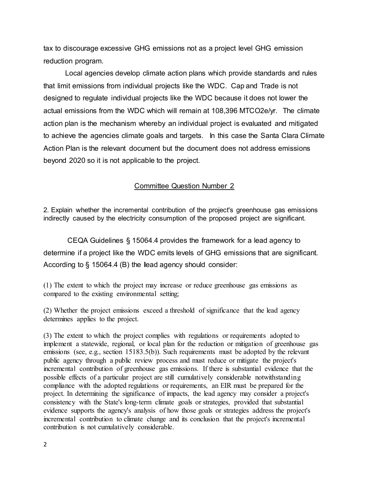tax to discourage excessive GHG emissions not as a project level GHG emission reduction program.

Local agencies develop climate action plans which provide standards and rules that limit emissions from individual projects like the WDC. Cap and Trade is not designed to regulate individual projects like the WDC because it does not lower the actual emissions from the WDC which will remain at 108,396 MTCO2e/yr. The climate action plan is the mechanism whereby an individual project is evaluated and mitigated to achieve the agencies climate goals and targets. In this case the Santa Clara Climate Action Plan is the relevant document but the document does not address emissions beyond 2020 so it is not applicable to the project.

#### Committee Question Number 2

2. Explain whether the incremental contribution of the project's greenhouse gas emissions indirectly caused by the electricity consumption of the proposed project are significant.

CEQA Guidelines § 15064.4 provides the framework for a lead agency to determine if a project like the WDC emits levels of GHG emissions that are significant. According to § 15064.4 (B) the **l**ead agency should consider:

(1) The extent to which the project may increase or reduce greenhouse gas emissions as compared to the existing environmental setting;

(2) Whether the project emissions exceed a threshold of significance that the lead agency determines applies to the project.

(3) The extent to which the project complies with regulations or requirements adopted to implement a statewide, regional, or local plan for the reduction or mitigation of greenhouse gas emissions (see, e.g., section 15183.5(b)). Such requirements must be adopted by the relevant public agency through a public review process and must reduce or mitigate the project's incremental contribution of greenhouse gas emissions. If there is substantial evidence that the possible effects of a particular project are still cumulatively considerable notwithstanding compliance with the adopted regulations or requirements, an EIR must be prepared for the project. In determining the significance of impacts, the lead agency may consider a project's consistency with the State's long-term climate goals or strategies, provided that substantial evidence supports the agency's analysis of how those goals or strategies address the project's incremental contribution to climate change and its conclusion that the project's incremental contribution is not cumulatively considerable.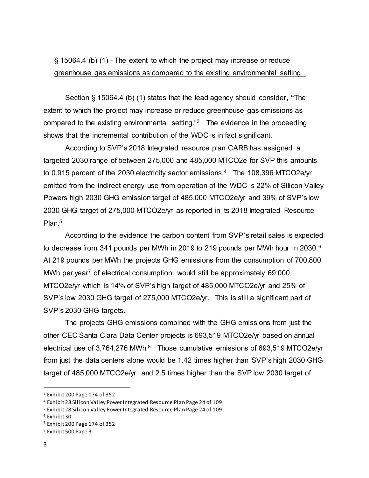## § 15064.4 (b) (1) - The extent to which the project may increase or reduce greenhouse gas emissions as compared to the existing environmental setting .

Section § 15064.4 (b) (1) states that the lead agency should consider**, "**The extent to which the project may increase or reduce greenhouse gas emissions as compared to the existing environmental setting."<sup>3</sup> The evidence in the proceeding shows that the incremental contribution of the WDC is in fact significant.

According to SVP's 2018 Integrated resource plan CARB has assigned a targeted 2030 range of between 275,000 and 485,000 MTCO2e for SVP this amounts to 0.915 percent of the 2030 electricity sector emissions.<sup>4</sup> The 108,396 MTCO2e/yr emitted from the indirect energy use from operation of the WDC is 22% of Silicon Valley Powers high 2030 GHG emission target of 485,000 MTCO2e/yr and 39% of SVP's low 2030 GHG target of 275,000 MTCO2e/yr as reported in its 2018 Integrated Resource Plan.<sup>5</sup>

According to the evidence the carbon content from SVP's retail sales is expected to decrease from 341 pounds per MWh in 2019 to 219 pounds per MWh hour in 2030.<sup>6</sup> At 219 pounds per MWh the projects GHG emissions from the consumption of 700,800 MWh per year<sup>7</sup> of electrical consumption would still be approximately 69,000 MTCO2e/yr which is 14% of SVP's high target of 485,000 MTCO2e/yr and 25% of SVP's low 2030 GHG target of 275,000 MTCO2e/yr. This is still a significant part of SVP's 2030 GHG targets.

The projects GHG emissions combined with the GHG emissions from just the other CEC Santa Clara Data Center projects is 693,519 MTCO2e/yr based on annual electrical use of 3,764,276 MWh.<sup>8</sup> Those cumulative emissions of 693,519 MTCO2e/yr from just the data centers alone would be 1.42 times higher than SVP's high 2030 GHG target of 485,000 MTCO2e/yr and 2.5 times higher than the SVP low 2030 target of

<sup>3</sup> Exhibit 200 Page 174 of 352

<sup>4</sup> Exhibit 28 Silicon Valley Power Integrated Resource Plan Page 24 of 109

<sup>5</sup> Exhibit 28 Silicon Valley Power Integrated Resource Plan Page 24 of 109

<sup>6</sup> Exhibit 30

<sup>7</sup> Exhibit 200 Page 174 of 352

<sup>8</sup> Exhibit 500 Page 3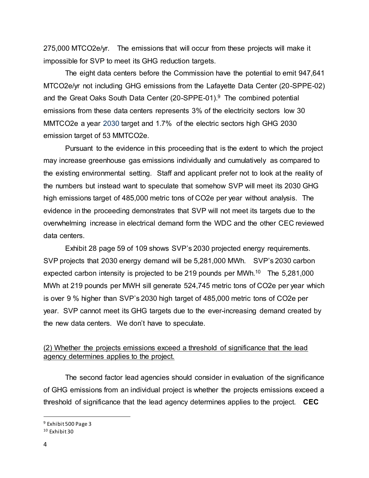275,000 MTCO2e/yr. The emissions that will occur from these projects will make it impossible for SVP to meet its GHG reduction targets.

The eight data centers before the Commission have the potential to emit 947,641 MTCO2e/yr not including GHG emissions from the Lafayette Data Center (20-SPPE-02) and the Great Oaks South Data Center (20-SPPE-01).<sup>9</sup> The combined potential emissions from these data centers represents 3% of the electricity sectors low 30 MMTCO2e a year 2030 target and 1.7% of the electric sectors high GHG 2030 emission target of 53 MMTCO2e.

Pursuant to the evidence in this proceeding that is the extent to which the project may increase greenhouse gas emissions individually and cumulatively as compared to the existing environmental setting. Staff and applicant prefer not to look at the reality of the numbers but instead want to speculate that somehow SVP will meet its 2030 GHG high emissions target of 485,000 metric tons of CO2e per year without analysis. The evidence in the proceeding demonstrates that SVP will not meet its targets due to the overwhelming increase in electrical demand form the WDC and the other CEC reviewed data centers.

Exhibit 28 page 59 of 109 shows SVP's 2030 projected energy requirements. SVP projects that 2030 energy demand will be 5,281,000 MWh. SVP's 2030 carbon expected carbon intensity is projected to be 219 pounds per MWh.<sup>10</sup> The 5,281,000 MWh at 219 pounds per MWH sill generate 524,745 metric tons of CO2e per year which is over 9 % higher than SVP's 2030 high target of 485,000 metric tons of CO2e per year. SVP cannot meet its GHG targets due to the ever-increasing demand created by the new data centers. We don't have to speculate.

#### (2) Whether the projects emissions exceed a threshold of significance that the lead agency determines applies to the project.

The second factor lead agencies should consider in evaluation of the significance of GHG emissions from an individual project is whether the projects emissions exceed a threshold of significance that the lead agency determines applies to the project. **CEC**

<sup>9</sup> Exhibit 500 Page 3

<sup>10</sup> Exhibit 30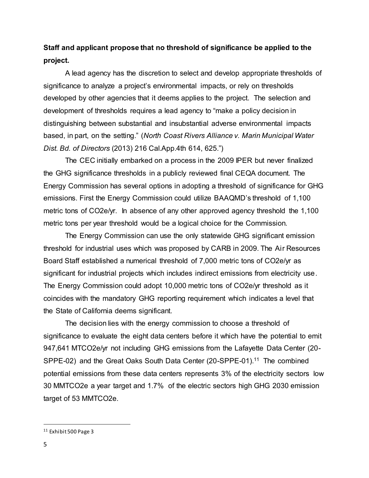# **Staff and applicant propose that no threshold of significance be applied to the project.**

A lead agency has the discretion to select and develop appropriate thresholds of significance to analyze a project's environmental impacts, or rely on thresholds developed by other agencies that it deems applies to the project. The selection and development of thresholds requires a lead agency to "make a policy decision in distinguishing between substantial and insubstantial adverse environmental impacts based, in part, on the setting." (*North Coast Rivers Alliance v. Marin Municipal Water Dist. Bd. of Directors* (2013) 216 Cal.App.4th 614, 625.")

The CEC initially embarked on a process in the 2009 IPER but never finalized the GHG significance thresholds in a publicly reviewed final CEQA document. The Energy Commission has several options in adopting a threshold of significance for GHG emissions. First the Energy Commission could utilize BAAQMD's threshold of 1,100 metric tons of CO2e/yr. In absence of any other approved agency threshold the 1,100 metric tons per year threshold would be a logical choice for the Commission.

The Energy Commission can use the only statewide GHG significant emission threshold for industrial uses which was proposed by CARB in 2009. The Air Resources Board Staff established a numerical threshold of 7,000 metric tons of CO2e/yr as significant for industrial projects which includes indirect emissions from electricity use. The Energy Commission could adopt 10,000 metric tons of CO2e/yr threshold as it coincides with the mandatory GHG reporting requirement which indicates a level that the State of California deems significant.

The decision lies with the energy commission to choose a threshold of significance to evaluate the eight data centers before it which have the potential to emit 947,641 MTCO2e/yr not including GHG emissions from the Lafayette Data Center (20- SPPE-02) and the Great Oaks South Data Center (20-SPPE-01).<sup>11</sup> The combined potential emissions from these data centers represents 3% of the electricity sectors low 30 MMTCO2e a year target and 1.7% of the electric sectors high GHG 2030 emission target of 53 MMTCO2e.

<sup>11</sup> Exhibit 500 Page 3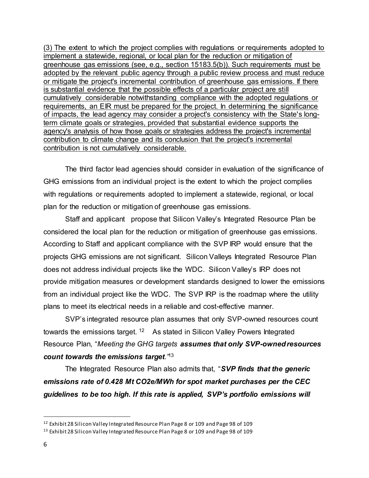(3) The extent to which the project complies with regulations or requirements adopted to implement a statewide, regional, or local plan for the reduction or mitigation of greenhouse gas emissions (see, e.g., section 15183.5(b)). Such requirements must be adopted by the relevant public agency through a public review process and must reduce or mitigate the project's incremental contribution of greenhouse gas emissions. If there is substantial evidence that the possible effects of a particular project are still cumulatively considerable notwithstanding compliance with the adopted regulations or requirements, an EIR must be prepared for the project. In determining the significance of impacts, the lead agency may consider a project's consistency with the State's longterm climate goals or strategies, provided that substantial evidence supports the agency's analysis of how those goals or strategies address the project's incremental contribution to climate change and its conclusion that the project's incremental contribution is not cumulatively considerable.

The third factor lead agencies should consider in evaluation of the significance of GHG emissions from an individual project is the extent to which the project complies with regulations or requirements adopted to implement a statewide, regional, or local plan for the reduction or mitigation of greenhouse gas emissions.

Staff and applicant propose that Silicon Valley's Integrated Resource Plan be considered the local plan for the reduction or mitigation of greenhouse gas emissions. According to Staff and applicant compliance with the SVP IRP would ensure that the projects GHG emissions are not significant. Silicon Valleys Integrated Resource Plan does not address individual projects like the WDC. Silicon Valley's IRP does not provide mitigation measures or development standards designed to lower the emissions from an individual project like the WDC. The SVP IRP is the roadmap where the utility plans to meet its electrical needs in a reliable and cost-effective manner.

SVP's integrated resource plan assumes that only SVP-owned resources count towards the emissions target. <sup>12</sup> As stated in Silicon Valley Powers Integrated Resource Plan, "*Meeting the GHG targets assumes that only SVP-owned resources count towards the emissions target."*<sup>13</sup>

The Integrated Resource Plan also admits that, "*SVP finds that the generic emissions rate of 0.428 Mt CO2e/MWh for spot market purchases per the CEC guidelines to be too high. If this rate is applied, SVP's portfolio emissions will* 

<sup>&</sup>lt;sup>12</sup> Exhibit 28 Silicon Valley Integrated Resource Plan Page 8 or 109 and Page 98 of 109

<sup>13</sup> Exhibit 28 Silicon Valley Integrated Resource Plan Page 8 or 109 and Page 98 of 109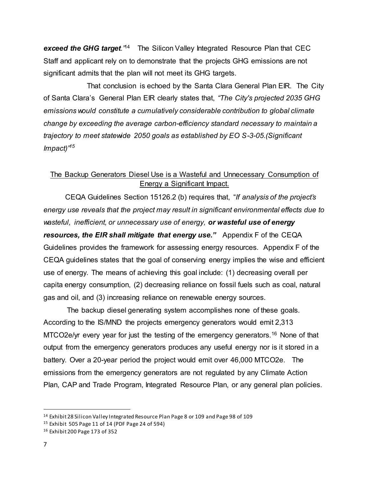**exceed the GHG target.**<sup>14</sup> The Silicon Valley Integrated Resource Plan that CEC Staff and applicant rely on to demonstrate that the projects GHG emissions are not significant admits that the plan will not meet its GHG targets.

That conclusion is echoed by the Santa Clara General Plan EIR. The City of Santa Clara's General Plan EIR clearly states that, *"The City's projected 2035 GHG emissions would constitute a cumulatively considerable contribution to global climate change by exceeding the average carbon-efficiency standard necessary to maintain a trajectory to meet statewide 2050 goals as established by EO S-3-05.(Significant Impact)"<sup>15</sup>*

## The Backup Generators Diesel Use is a Wasteful and Unnecessary Consumption of Energy a Significant Impact.

CEQA Guidelines Section 15126.2 (b) requires that, "*If analysis of the project's energy use reveals that the project may result in significant environmental effects due to wasteful, inefficient, or unnecessary use of energy, or wasteful use of energy resources, the EIR shall mitigate that energy use."* Appendix F of the CEQA Guidelines provides the framework for assessing energy resources. Appendix F of the CEQA guidelines states that the goal of conserving energy implies the wise and efficient use of energy. The means of achieving this goal include: (1) decreasing overall per capita energy consumption, (2) decreasing reliance on fossil fuels such as coal, natural gas and oil, and (3) increasing reliance on renewable energy sources.

The backup diesel generating system accomplishes none of these goals. According to the IS/MND the projects emergency generators would emit 2,313 MTCO2e/yr every year for just the testing of the emergency generators.<sup>16</sup> None of that output from the emergency generators produces any useful energy nor is it stored in a battery. Over a 20-year period the project would emit over 46,000 MTCO2e. The emissions from the emergency generators are not regulated by any Climate Action Plan, CAP and Trade Program, Integrated Resource Plan, or any general plan policies.

l

<sup>14</sup> Exhibit 28 Silicon Valley Integrated Resource Plan Page 8 or 109 and Page 98 of 109

<sup>15</sup> Exhibit 505 Page 11 of 14 (PDF Page 24 of 594)

<sup>16</sup> Exhibit 200 Page 173 of 352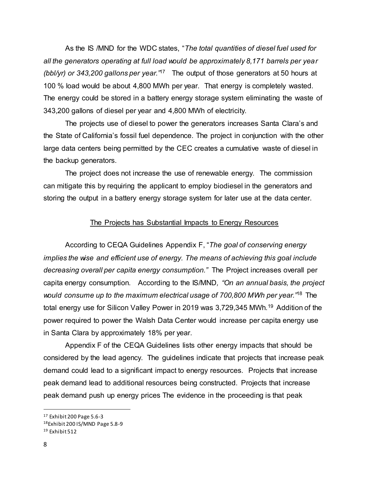As the IS /MND for the WDC states, "*The total quantities of diesel fuel used for all the generators operating at full load would be approximately 8,171 barrels per year (bbl/yr) or 343,200 gallons per year."*<sup>17</sup> The output of those generators at 50 hours at 100 % load would be about 4,800 MWh per year. That energy is completely wasted. The energy could be stored in a battery energy storage system eliminating the waste of 343,200 gallons of diesel per year and 4,800 MWh of electricity.

The projects use of diesel to power the generators increases Santa Clara's and the State of California's fossil fuel dependence. The project in conjunction with the other large data centers being permitted by the CEC creates a cumulative waste of diesel in the backup generators.

The project does not increase the use of renewable energy. The commission can mitigate this by requiring the applicant to employ biodiesel in the generators and storing the output in a battery energy storage system for later use at the data center.

#### The Projects has Substantial Impacts to Energy Resources

According to CEQA Guidelines Appendix F, "*The goal of conserving energy implies the wise and efficient use of energy. The means of achieving this goal include decreasing overall per capita energy consumption."* The Project increases overall per capita energy consumption.According to the IS/MND*, "On an annual basis, the project would consume up to the maximum electrical usage of 700,800 MWh per year."*<sup>18</sup> The total energy use for Silicon Valley Power in 2019 was 3,729,345 MWh.<sup>19</sup> Addition of the power required to power the Walsh Data Center would increase per capita energy use in Santa Clara by approximately 18% per year.

Appendix F of the CEQA Guidelines lists other energy impacts that should be considered by the lead agency. The guidelines indicate that projects that increase peak demand could lead to a significant impact to energy resources. Projects that increase peak demand lead to additional resources being constructed. Projects that increase peak demand push up energy prices The evidence in the proceeding is that peak

l

<sup>17</sup> Exhibit 200 Page 5.6-3

<sup>18</sup>Exhibit 200 IS/MND Page 5.8-9

<sup>19</sup> Exhibit 512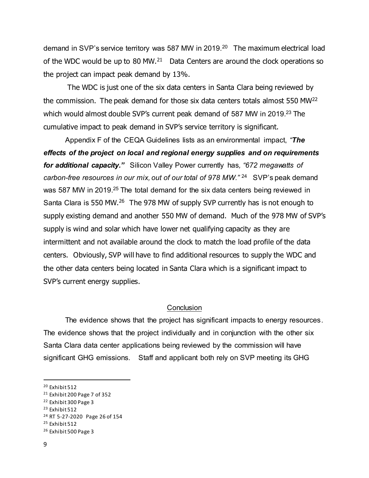demand in SVP's service territory was 587 MW in 2019.<sup>20</sup> The maximum electrical load of the WDC would be up to 80 MW. $^{21}$  Data Centers are around the clock operations so the project can impact peak demand by 13%.

The WDC is just one of the six data centers in Santa Clara being reviewed by the commission. The peak demand for those six data centers totals almost 550 MW<sup>22</sup> which would almost double SVP's current peak demand of 587 MW in 2019.<sup>23</sup> The cumulative impact to peak demand in SVP's service territory is significant.

Appendix F of the CEQA Guidelines lists as an environmental impact, *"The effects of the project on local and regional energy supplies and on requirements for additional capacity."* Silicon Valley Power currently has*, "672 megawatts of*  carbon-free resources in our mix, out of our total of 978 MW."<sup>24</sup> SVP's peak demand was 587 MW in 2019.<sup>25</sup> The total demand for the six data centers being reviewed in Santa Clara is 550 MW.<sup>26</sup> The 978 MW of supply SVP currently has is not enough to supply existing demand and another 550 MW of demand. Much of the 978 MW of SVP's supply is wind and solar which have lower net qualifying capacity as they are intermittent and not available around the clock to match the load profile of the data centers. Obviously, SVP will have to find additional resources to supply the WDC and the other data centers being located in Santa Clara which is a significant impact to SVP's current energy supplies.

#### **Conclusion**

 The evidence shows that the project has significant impacts to energy resources. The evidence shows that the project individually and in conjunction with the other six Santa Clara data center applications being reviewed by the commission will have significant GHG emissions. Staff and applicant both rely on SVP meeting its GHG

<sup>20</sup> Exhibit 512

<sup>21</sup> Exhibit 200 Page 7 of 352

<sup>22</sup> Exhibit 300 Page 3

<sup>23</sup> Exhibit 512

<sup>24</sup> RT 5-27-2020 Page 26 of 154

<sup>25</sup> Exhibit 512

<sup>26</sup> Exhibit 500 Page 3